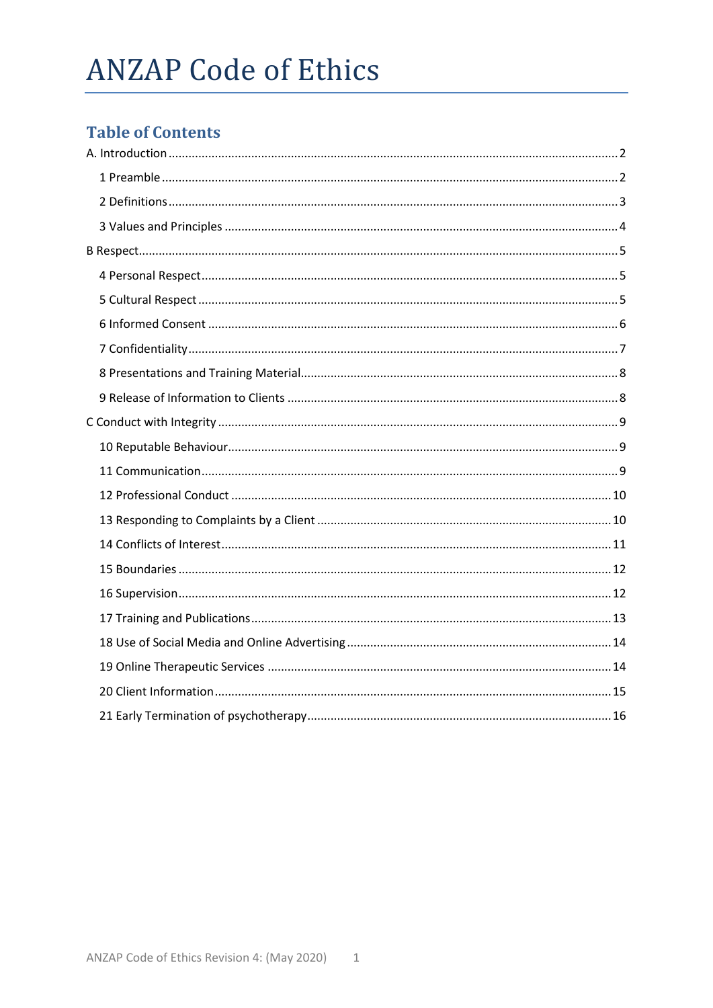# **ANZAP Code of Ethics**

# **Table of Contents**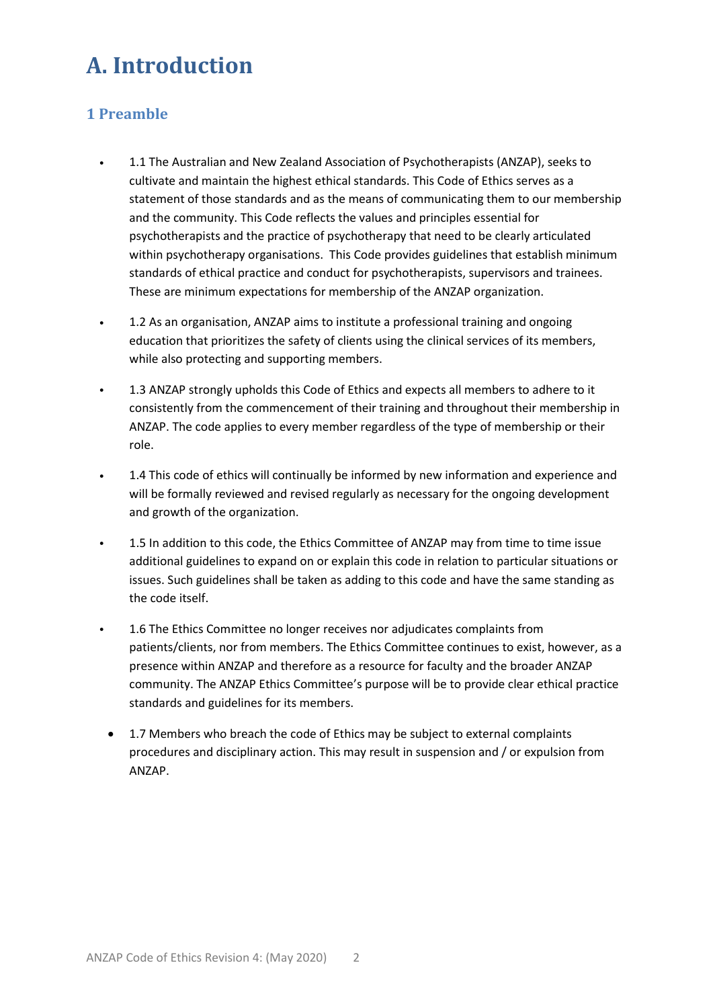# <span id="page-1-0"></span>**A. Introduction**

# <span id="page-1-1"></span>**1 Preamble**

- 1.1 The Australian and New Zealand Association of Psychotherapists (ANZAP), seeks to cultivate and maintain the highest ethical standards. This Code of Ethics serves as a statement of those standards and as the means of communicating them to our membership and the community. This Code reflects the values and principles essential for psychotherapists and the practice of psychotherapy that need to be clearly articulated within psychotherapy organisations. This Code provides guidelines that establish minimum standards of ethical practice and conduct for psychotherapists, supervisors and trainees. These are minimum expectations for membership of the ANZAP organization.
- 1.2 As an organisation, ANZAP aims to institute a professional training and ongoing education that prioritizes the safety of clients using the clinical services of its members, while also protecting and supporting members.
- 1.3 ANZAP strongly upholds this Code of Ethics and expects all members to adhere to it consistently from the commencement of their training and throughout their membership in ANZAP. The code applies to every member regardless of the type of membership or their role.
- 1.4 This code of ethics will continually be informed by new information and experience and will be formally reviewed and revised regularly as necessary for the ongoing development and growth of the organization.
- 1.5 In addition to this code, the Ethics Committee of ANZAP may from time to time issue additional guidelines to expand on or explain this code in relation to particular situations or issues. Such guidelines shall be taken as adding to this code and have the same standing as the code itself.
- 1.6 The Ethics Committee no longer receives nor adjudicates complaints from patients/clients, nor from members. The Ethics Committee continues to exist, however, as a presence within ANZAP and therefore as a resource for faculty and the broader ANZAP community. The ANZAP Ethics Committee's purpose will be to provide clear ethical practice standards and guidelines for its members.
	- 1.7 Members who breach the code of Ethics may be subject to external complaints procedures and disciplinary action. This may result in suspension and / or expulsion from ANZAP.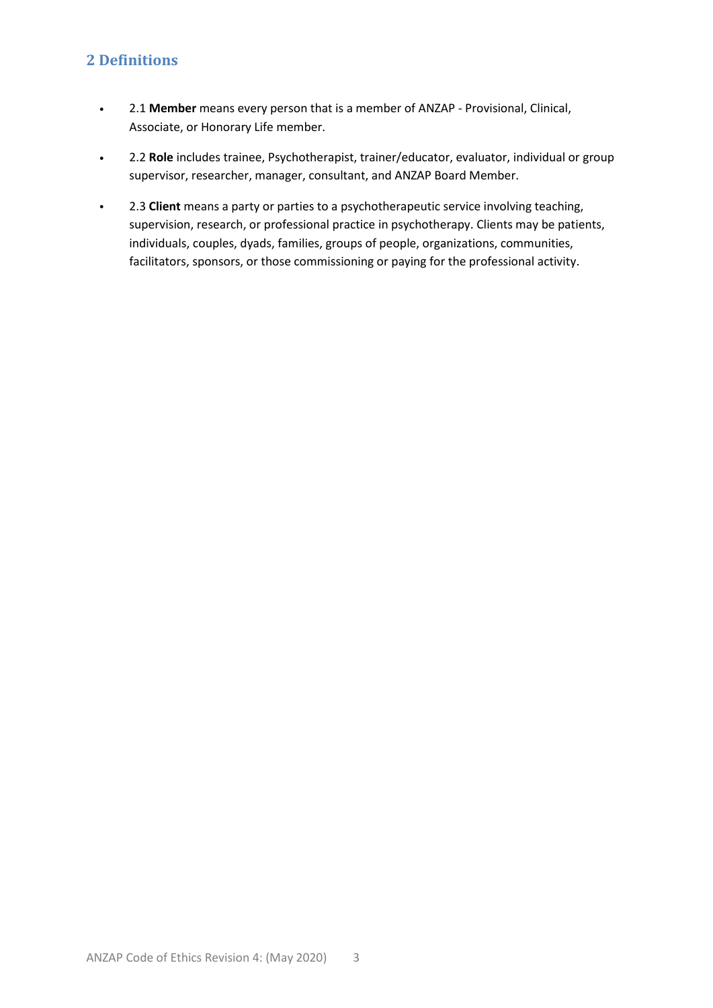### <span id="page-2-0"></span>**2 Definitions**

- 2.1 **Member** means every person that is a member of ANZAP Provisional, Clinical, Associate, or Honorary Life member.
- 2.2 **Role** includes trainee, Psychotherapist, trainer/educator, evaluator, individual or group supervisor, researcher, manager, consultant, and ANZAP Board Member.
- 2.3 **Client** means a party or parties to a psychotherapeutic service involving teaching, supervision, research, or professional practice in psychotherapy. Clients may be patients, individuals, couples, dyads, families, groups of people, organizations, communities, facilitators, sponsors, or those commissioning or paying for the professional activity.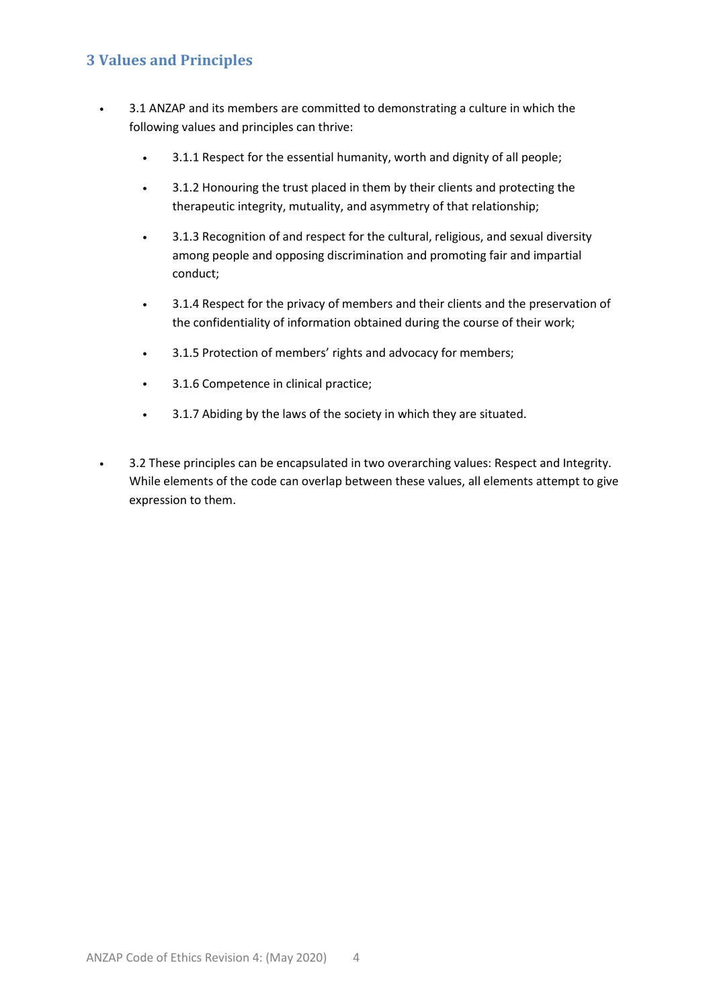# <span id="page-3-0"></span>**3 Values and Principles**

- 3.1 ANZAP and its members are committed to demonstrating a culture in which the following values and principles can thrive:
	- 3.1.1 Respect for the essential humanity, worth and dignity of all people;
	- 3.1.2 Honouring the trust placed in them by their clients and protecting the therapeutic integrity, mutuality, and asymmetry of that relationship;
	- 3.1.3 Recognition of and respect for the cultural, religious, and sexual diversity among people and opposing discrimination and promoting fair and impartial conduct;
	- 3.1.4 Respect for the privacy of members and their clients and the preservation of the confidentiality of information obtained during the course of their work;
	- 3.1.5 Protection of members' rights and advocacy for members;
	- 3.1.6 Competence in clinical practice;
	- 3.1.7 Abiding by the laws of the society in which they are situated.
- 3.2 These principles can be encapsulated in two overarching values: Respect and Integrity. While elements of the code can overlap between these values, all elements attempt to give expression to them.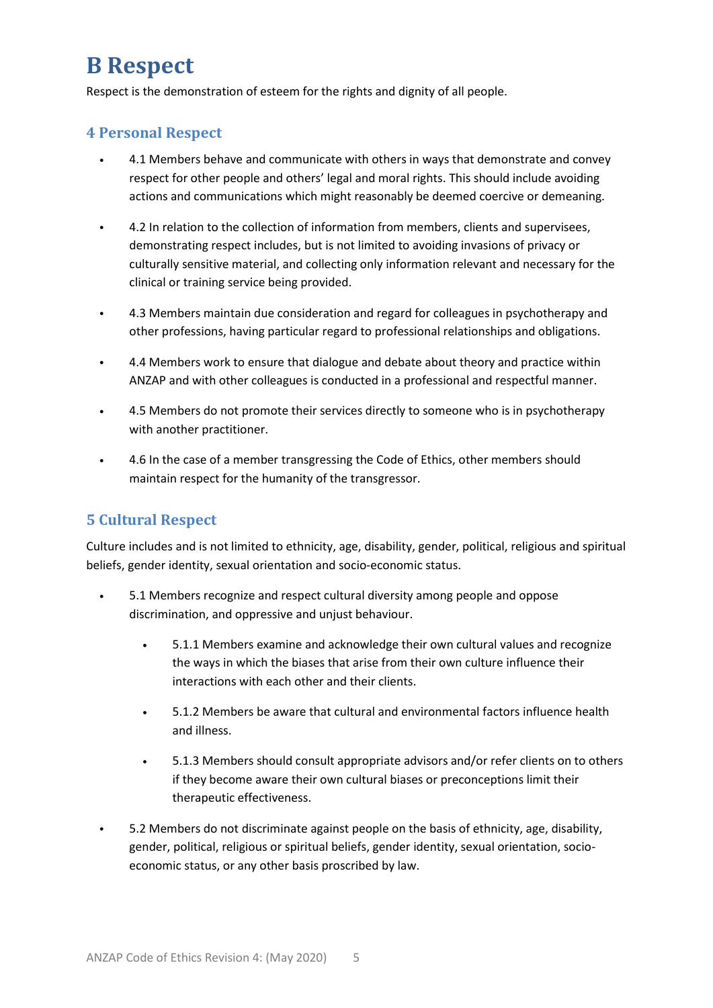# <span id="page-4-0"></span>**B Respect**

Respect is the demonstration of esteem for the rights and dignity of all people.

#### <span id="page-4-1"></span>**4 Personal Respect**

- 4.1 Members behave and communicate with others in ways that demonstrate and convey respect for other people and others' legal and moral rights. This should include avoiding actions and communications which might reasonably be deemed coercive or demeaning.
- 4.2 In relation to the collection of information from members, clients and supervisees, demonstrating respect includes, but is not limited to avoiding invasions of privacy or culturally sensitive material, and collecting only information relevant and necessary for the clinical or training service being provided.
- 4.3 Members maintain due consideration and regard for colleagues in psychotherapy and other professions, having particular regard to professional relationships and obligations.
- 4.4 Members work to ensure that dialogue and debate about theory and practice within ANZAP and with other colleagues is conducted in a professional and respectful manner.
- 4.5 Members do not promote their services directly to someone who is in psychotherapy with another practitioner.
- 4.6 In the case of a member transgressing the Code of Ethics, other members should maintain respect for the humanity of the transgressor.

#### <span id="page-4-2"></span>**5 Cultural Respect**

Culture includes and is not limited to ethnicity, age, disability, gender, political, religious and spiritual beliefs, gender identity, sexual orientation and socio-economic status.

- 5.1 Members recognize and respect cultural diversity among people and oppose discrimination, and oppressive and unjust behaviour.
	- 5.1.1 Members examine and acknowledge their own cultural values and recognize the ways in which the biases that arise from their own culture influence their interactions with each other and their clients.
	- 5.1.2 Members be aware that cultural and environmental factors influence health and illness.
	- 5.1.3 Members should consult appropriate advisors and/or refer clients on to others if they become aware their own cultural biases or preconceptions limit their therapeutic effectiveness.
- 5.2 Members do not discriminate against people on the basis of ethnicity, age, disability, gender, political, religious or spiritual beliefs, gender identity, sexual orientation, socioeconomic status, or any other basis proscribed by law.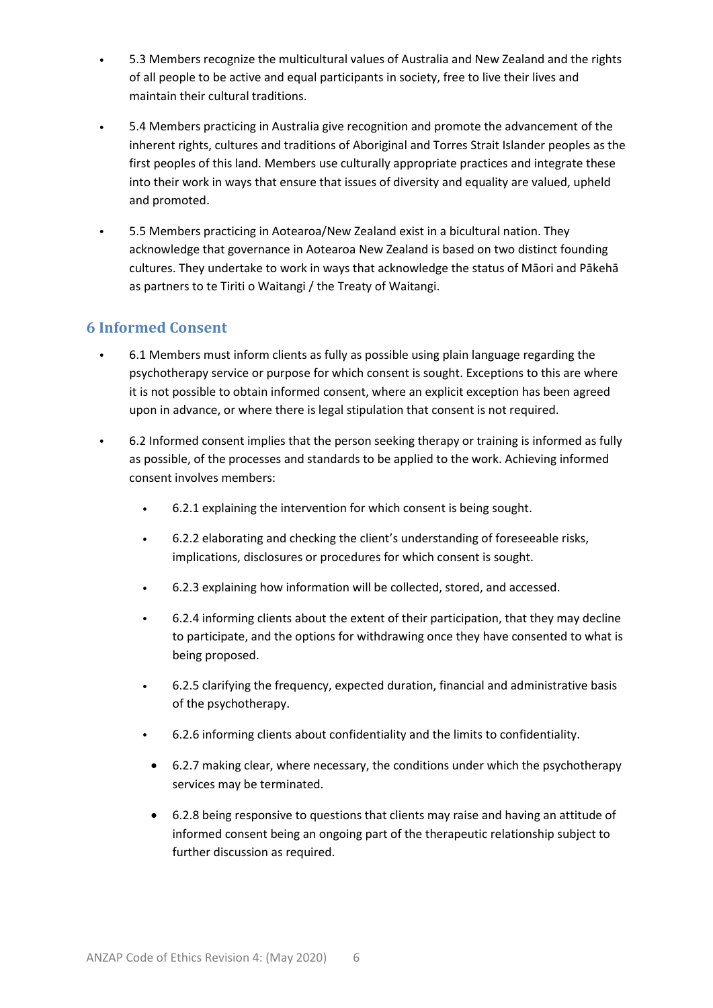- 5.3 Members recognize the multicultural values of Australia and New Zealand and the rights of all people to be active and equal participants in society, free to live their lives and maintain their cultural traditions.
- 5.4 Members practicing in Australia give recognition and promote the advancement of the inherent rights, cultures and traditions of Aboriginal and Torres Strait Islander peoples as the first peoples of this land. Members use culturally appropriate practices and integrate these into their work in ways that ensure that issues of diversity and equality are valued, upheld and promoted.
- 5.5 Members practicing in Aotearoa/New Zealand exist in a bicultural nation. They acknowledge that governance in Aotearoa New Zealand is based on two distinct founding cultures. They undertake to work in ways that acknowledge the status of Māori and Pākehā as partners to te Tiriti o Waitangi / the Treaty of Waitangi.

#### <span id="page-5-0"></span>**6 Informed Consent**

- 6.1 Members must inform clients as fully as possible using plain language regarding the psychotherapy service or purpose for which consent is sought. Exceptions to this are where it is not possible to obtain informed consent, where an explicit exception has been agreed upon in advance, or where there is legal stipulation that consent is not required.
- 6.2 Informed consent implies that the person seeking therapy or training is informed as fully as possible, of the processes and standards to be applied to the work. Achieving informed consent involves members:
	- 6.2.1 explaining the intervention for which consent is being sought.
	- 6.2.2 elaborating and checking the client's understanding of foreseeable risks, implications, disclosures or procedures for which consent is sought.
	- 6.2.3 explaining how information will be collected, stored, and accessed.
	- 6.2.4 informing clients about the extent of their participation, that they may decline to participate, and the options for withdrawing once they have consented to what is being proposed.
	- 6.2.5 clarifying the frequency, expected duration, financial and administrative basis of the psychotherapy.
	- 6.2.6 informing clients about confidentiality and the limits to confidentiality.
		- 6.2.7 making clear, where necessary, the conditions under which the psychotherapy services may be terminated.
		- 6.2.8 being responsive to questions that clients may raise and having an attitude of informed consent being an ongoing part of the therapeutic relationship subject to further discussion as required.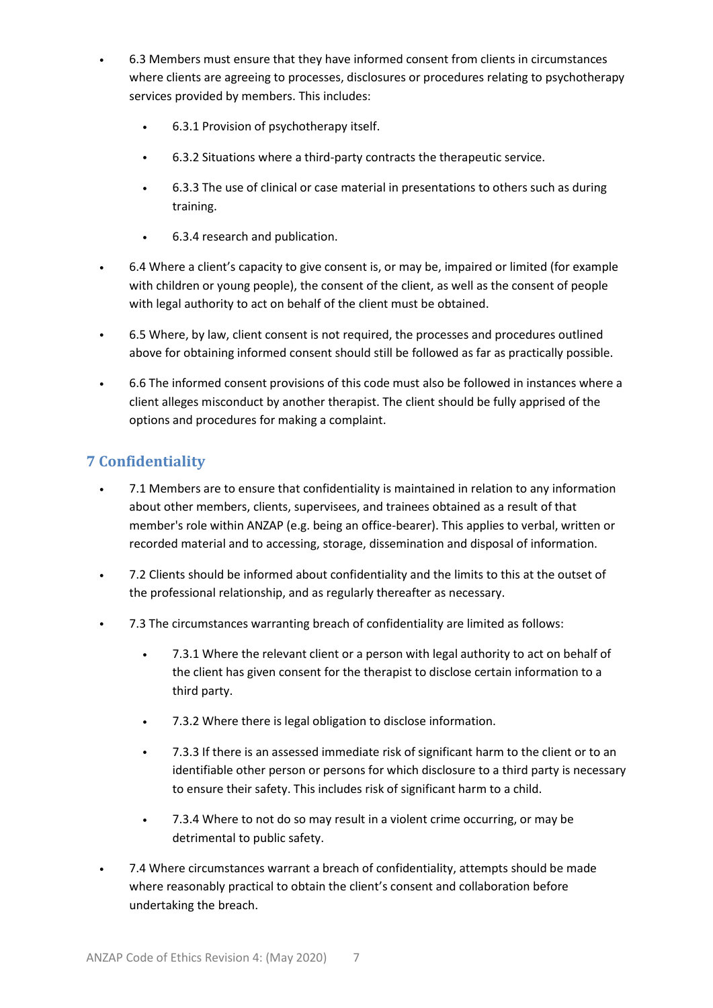- 6.3 Members must ensure that they have informed consent from clients in circumstances where clients are agreeing to processes, disclosures or procedures relating to psychotherapy services provided by members. This includes:
	- 6.3.1 Provision of psychotherapy itself.
	- 6.3.2 Situations where a third-party contracts the therapeutic service.
	- 6.3.3 The use of clinical or case material in presentations to others such as during training.
	- 6.3.4 research and publication.
- 6.4 Where a client's capacity to give consent is, or may be, impaired or limited (for example with children or young people), the consent of the client, as well as the consent of people with legal authority to act on behalf of the client must be obtained.
- 6.5 Where, by law, client consent is not required, the processes and procedures outlined above for obtaining informed consent should still be followed as far as practically possible.
- 6.6 The informed consent provisions of this code must also be followed in instances where a client alleges misconduct by another therapist. The client should be fully apprised of the options and procedures for making a complaint.

# <span id="page-6-0"></span>**7 Confidentiality**

- 7.1 Members are to ensure that confidentiality is maintained in relation to any information about other members, clients, supervisees, and trainees obtained as a result of that member's role within ANZAP (e.g. being an office-bearer). This applies to verbal, written or recorded material and to accessing, storage, dissemination and disposal of information.
- 7.2 Clients should be informed about confidentiality and the limits to this at the outset of the professional relationship, and as regularly thereafter as necessary.
- 7.3 The circumstances warranting breach of confidentiality are limited as follows:
	- 7.3.1 Where the relevant client or a person with legal authority to act on behalf of the client has given consent for the therapist to disclose certain information to a third party.
	- 7.3.2 Where there is legal obligation to disclose information.
	- 7.3.3 If there is an assessed immediate risk of significant harm to the client or to an identifiable other person or persons for which disclosure to a third party is necessary to ensure their safety. This includes risk of significant harm to a child.
	- 7.3.4 Where to not do so may result in a violent crime occurring, or may be detrimental to public safety.
- 7.4 Where circumstances warrant a breach of confidentiality, attempts should be made where reasonably practical to obtain the client's consent and collaboration before undertaking the breach.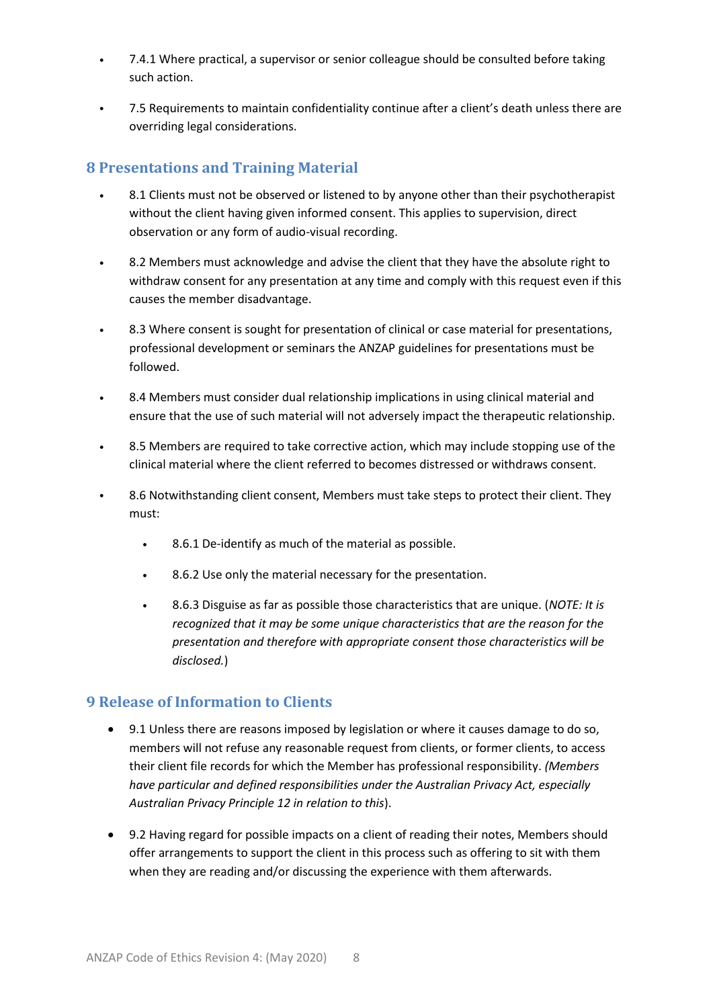- 7.4.1 Where practical, a supervisor or senior colleague should be consulted before taking such action.
- 7.5 Requirements to maintain confidentiality continue after a client's death unless there are overriding legal considerations.

#### <span id="page-7-0"></span>**8 Presentations and Training Material**

- 8.1 Clients must not be observed or listened to by anyone other than their psychotherapist without the client having given informed consent. This applies to supervision, direct observation or any form of audio-visual recording.
- 8.2 Members must acknowledge and advise the client that they have the absolute right to withdraw consent for any presentation at any time and comply with this request even if this causes the member disadvantage.
- 8.3 Where consent is sought for presentation of clinical or case material for presentations, professional development or seminars the ANZAP guidelines for presentations must be followed.
- 8.4 Members must consider dual relationship implications in using clinical material and ensure that the use of such material will not adversely impact the therapeutic relationship.
- 8.5 Members are required to take corrective action, which may include stopping use of the clinical material where the client referred to becomes distressed or withdraws consent.
- 8.6 Notwithstanding client consent, Members must take steps to protect their client. They must:
	- 8.6.1 De-identify as much of the material as possible.
	- 8.6.2 Use only the material necessary for the presentation.
	- 8.6.3 Disguise as far as possible those characteristics that are unique. (*NOTE: It is recognized that it may be some unique characteristics that are the reason for the presentation and therefore with appropriate consent those characteristics will be disclosed.*)

#### <span id="page-7-1"></span>**9 Release of Information to Clients**

- 9.1 Unless there are reasons imposed by legislation or where it causes damage to do so, members will not refuse any reasonable request from clients, or former clients, to access their client file records for which the Member has professional responsibility. *(Members have particular and defined responsibilities under the Australian Privacy Act, especially Australian Privacy Principle 12 in relation to this*).
- 9.2 Having regard for possible impacts on a client of reading their notes, Members should offer arrangements to support the client in this process such as offering to sit with them when they are reading and/or discussing the experience with them afterwards.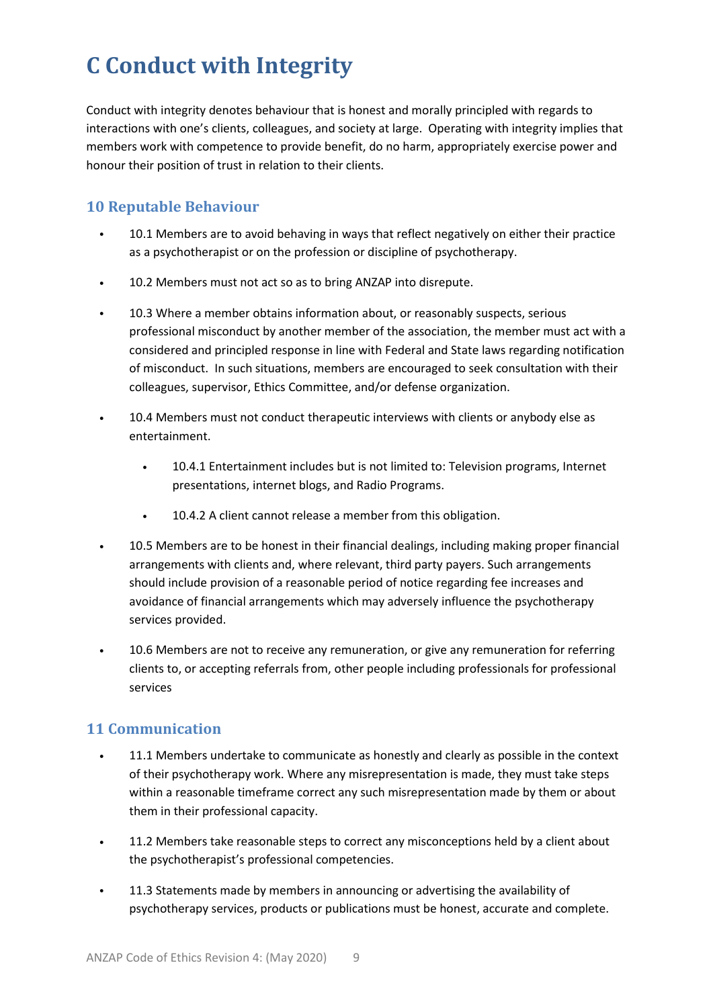# <span id="page-8-0"></span>**C Conduct with Integrity**

Conduct with integrity denotes behaviour that is honest and morally principled with regards to interactions with one's clients, colleagues, and society at large. Operating with integrity implies that members work with competence to provide benefit, do no harm, appropriately exercise power and honour their position of trust in relation to their clients.

#### <span id="page-8-1"></span>**10 Reputable Behaviour**

- 10.1 Members are to avoid behaving in ways that reflect negatively on either their practice as a psychotherapist or on the profession or discipline of psychotherapy.
- 10.2 Members must not act so as to bring ANZAP into disrepute.
- 10.3 Where a member obtains information about, or reasonably suspects, serious professional misconduct by another member of the association, the member must act with a considered and principled response in line with Federal and State laws regarding notification of misconduct. In such situations, members are encouraged to seek consultation with their colleagues, supervisor, Ethics Committee, and/or defense organization.
- 10.4 Members must not conduct therapeutic interviews with clients or anybody else as entertainment.
	- 10.4.1 Entertainment includes but is not limited to: Television programs, Internet presentations, internet blogs, and Radio Programs.
	- 10.4.2 A client cannot release a member from this obligation.
- 10.5 Members are to be honest in their financial dealings, including making proper financial arrangements with clients and, where relevant, third party payers. Such arrangements should include provision of a reasonable period of notice regarding fee increases and avoidance of financial arrangements which may adversely influence the psychotherapy services provided.
- 10.6 Members are not to receive any remuneration, or give any remuneration for referring clients to, or accepting referrals from, other people including professionals for professional services

#### <span id="page-8-2"></span>**11 Communication**

- 11.1 Members undertake to communicate as honestly and clearly as possible in the context of their psychotherapy work. Where any misrepresentation is made, they must take steps within a reasonable timeframe correct any such misrepresentation made by them or about them in their professional capacity.
- 11.2 Members take reasonable steps to correct any misconceptions held by a client about the psychotherapist's professional competencies.
- 11.3 Statements made by members in announcing or advertising the availability of psychotherapy services, products or publications must be honest, accurate and complete.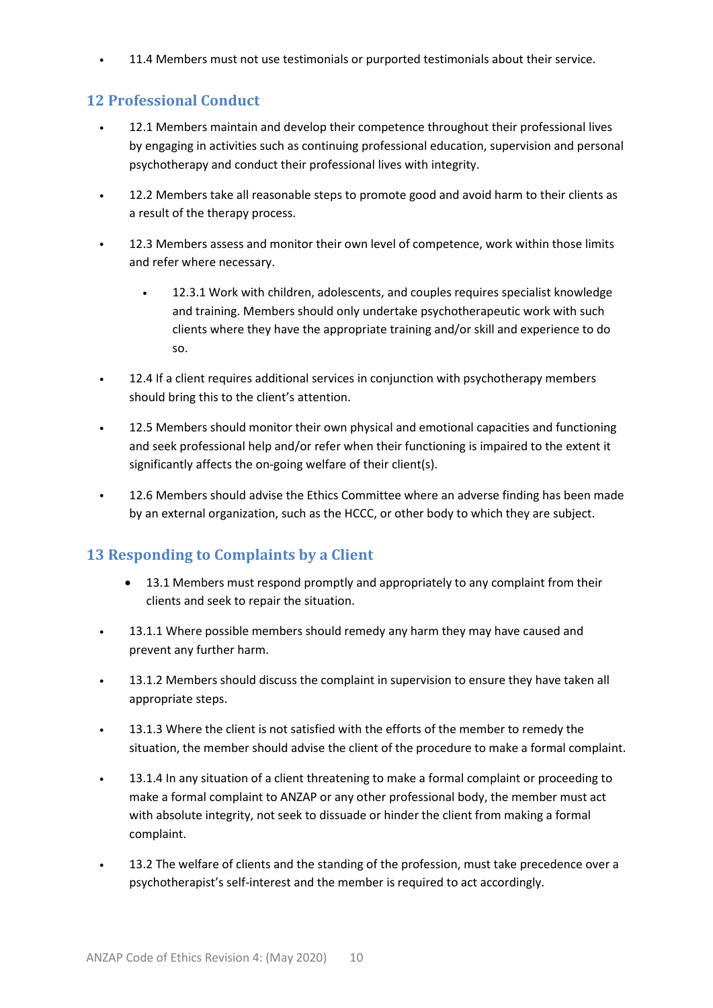• 11.4 Members must not use testimonials or purported testimonials about their service.

#### <span id="page-9-0"></span>**12 Professional Conduct**

- 12.1 Members maintain and develop their competence throughout their professional lives by engaging in activities such as continuing professional education, supervision and personal psychotherapy and conduct their professional lives with integrity.
- 12.2 Members take all reasonable steps to promote good and avoid harm to their clients as a result of the therapy process.
- 12.3 Members assess and monitor their own level of competence, work within those limits and refer where necessary.
	- 12.3.1 Work with children, adolescents, and couples requires specialist knowledge and training. Members should only undertake psychotherapeutic work with such clients where they have the appropriate training and/or skill and experience to do so.
- 12.4 If a client requires additional services in conjunction with psychotherapy members should bring this to the client's attention.
- 12.5 Members should monitor their own physical and emotional capacities and functioning and seek professional help and/or refer when their functioning is impaired to the extent it significantly affects the on-going welfare of their client(s).
- 12.6 Members should advise the Ethics Committee where an adverse finding has been made by an external organization, such as the HCCC, or other body to which they are subject.

# <span id="page-9-1"></span>**13 Responding to Complaints by a Client**

- 13.1 Members must respond promptly and appropriately to any complaint from their clients and seek to repair the situation.
- 13.1.1 Where possible members should remedy any harm they may have caused and prevent any further harm.
- 13.1.2 Members should discuss the complaint in supervision to ensure they have taken all appropriate steps.
- 13.1.3 Where the client is not satisfied with the efforts of the member to remedy the situation, the member should advise the client of the procedure to make a formal complaint.
- 13.1.4 In any situation of a client threatening to make a formal complaint or proceeding to make a formal complaint to ANZAP or any other professional body, the member must act with absolute integrity, not seek to dissuade or hinder the client from making a formal complaint.
- 13.2 The welfare of clients and the standing of the profession, must take precedence over a psychotherapist's self-interest and the member is required to act accordingly.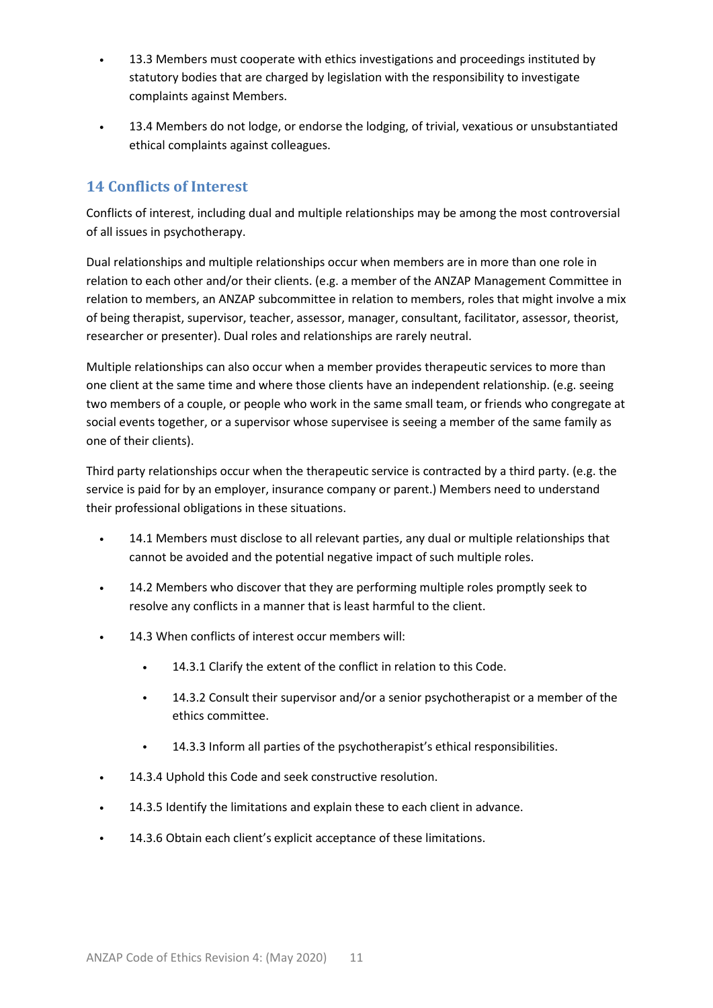- 13.3 Members must cooperate with ethics investigations and proceedings instituted by statutory bodies that are charged by legislation with the responsibility to investigate complaints against Members.
- 13.4 Members do not lodge, or endorse the lodging, of trivial, vexatious or unsubstantiated ethical complaints against colleagues.

#### <span id="page-10-0"></span>**14 Conflicts of Interest**

Conflicts of interest, including dual and multiple relationships may be among the most controversial of all issues in psychotherapy.

Dual relationships and multiple relationships occur when members are in more than one role in relation to each other and/or their clients. (e.g. a member of the ANZAP Management Committee in relation to members, an ANZAP subcommittee in relation to members, roles that might involve a mix of being therapist, supervisor, teacher, assessor, manager, consultant, facilitator, assessor, theorist, researcher or presenter). Dual roles and relationships are rarely neutral.

Multiple relationships can also occur when a member provides therapeutic services to more than one client at the same time and where those clients have an independent relationship. (e.g. seeing two members of a couple, or people who work in the same small team, or friends who congregate at social events together, or a supervisor whose supervisee is seeing a member of the same family as one of their clients).

Third party relationships occur when the therapeutic service is contracted by a third party. (e.g. the service is paid for by an employer, insurance company or parent.) Members need to understand their professional obligations in these situations.

- 14.1 Members must disclose to all relevant parties, any dual or multiple relationships that cannot be avoided and the potential negative impact of such multiple roles.
- 14.2 Members who discover that they are performing multiple roles promptly seek to resolve any conflicts in a manner that is least harmful to the client.
- 14.3 When conflicts of interest occur members will:
	- 14.3.1 Clarify the extent of the conflict in relation to this Code.
	- 14.3.2 Consult their supervisor and/or a senior psychotherapist or a member of the ethics committee.
	- 14.3.3 Inform all parties of the psychotherapist's ethical responsibilities.
- 14.3.4 Uphold this Code and seek constructive resolution.
- 14.3.5 Identify the limitations and explain these to each client in advance.
- 14.3.6 Obtain each client's explicit acceptance of these limitations.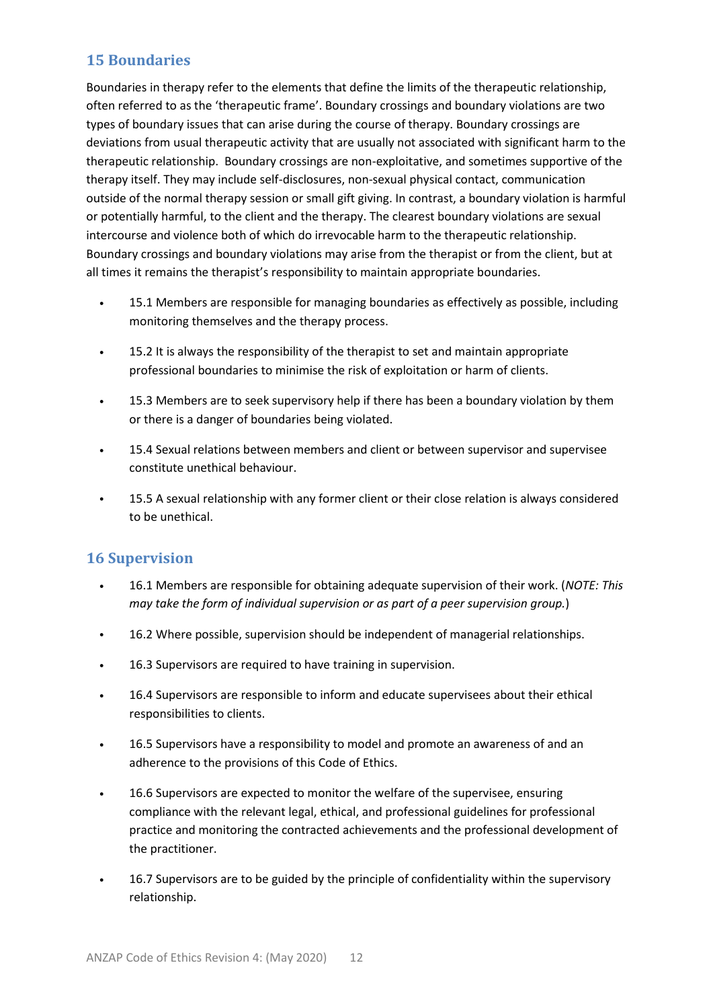#### <span id="page-11-0"></span>**15 Boundaries**

Boundaries in therapy refer to the elements that define the limits of the therapeutic relationship, often referred to as the 'therapeutic frame'. Boundary crossings and boundary violations are two types of boundary issues that can arise during the course of therapy. Boundary crossings are deviations from usual therapeutic activity that are usually not associated with significant harm to the therapeutic relationship. Boundary crossings are non-exploitative, and sometimes supportive of the therapy itself. They may include self-disclosures, non-sexual physical contact, communication outside of the normal therapy session or small gift giving. In contrast, a boundary violation is harmful or potentially harmful, to the client and the therapy. The clearest boundary violations are sexual intercourse and violence both of which do irrevocable harm to the therapeutic relationship. Boundary crossings and boundary violations may arise from the therapist or from the client, but at all times it remains the therapist's responsibility to maintain appropriate boundaries.

- 15.1 Members are responsible for managing boundaries as effectively as possible, including monitoring themselves and the therapy process.
- 15.2 It is always the responsibility of the therapist to set and maintain appropriate professional boundaries to minimise the risk of exploitation or harm of clients.
- 15.3 Members are to seek supervisory help if there has been a boundary violation by them or there is a danger of boundaries being violated.
- 15.4 Sexual relations between members and client or between supervisor and supervisee constitute unethical behaviour.
- 15.5 A sexual relationship with any former client or their close relation is always considered to be unethical.

#### <span id="page-11-1"></span>**16 Supervision**

- 16.1 Members are responsible for obtaining adequate supervision of their work. (*NOTE: This may take the form of individual supervision or as part of a peer supervision group.*)
- 16.2 Where possible, supervision should be independent of managerial relationships.
- 16.3 Supervisors are required to have training in supervision.
- 16.4 Supervisors are responsible to inform and educate supervisees about their ethical responsibilities to clients.
- 16.5 Supervisors have a responsibility to model and promote an awareness of and an adherence to the provisions of this Code of Ethics.
- 16.6 Supervisors are expected to monitor the welfare of the supervisee, ensuring compliance with the relevant legal, ethical, and professional guidelines for professional practice and monitoring the contracted achievements and the professional development of the practitioner.
- 16.7 Supervisors are to be guided by the principle of confidentiality within the supervisory relationship.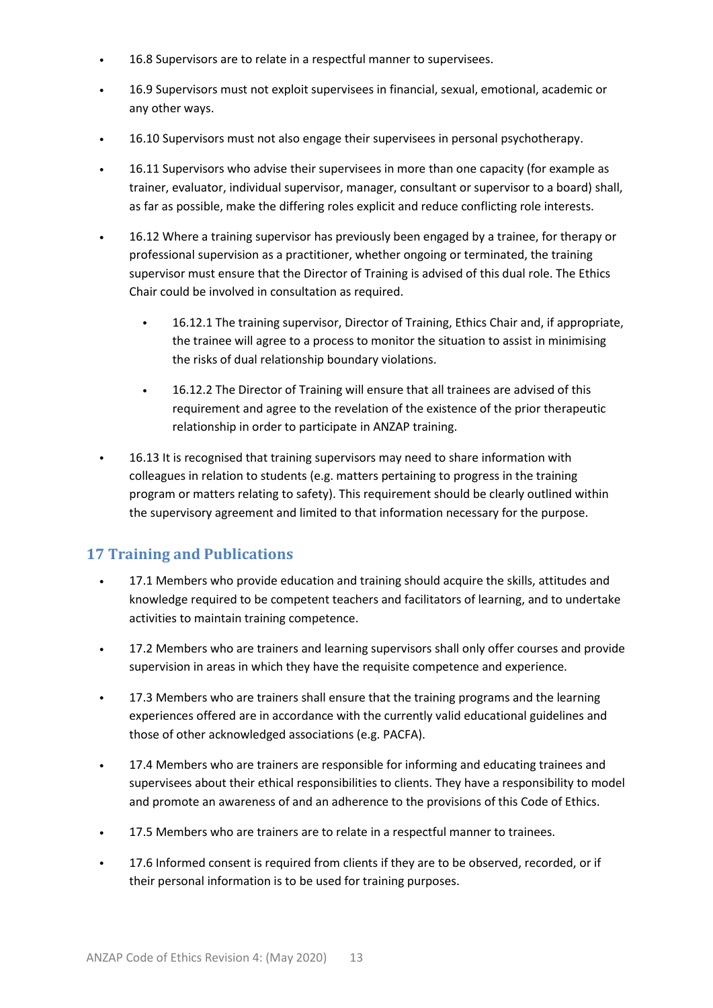- 16.8 Supervisors are to relate in a respectful manner to supervisees.
- 16.9 Supervisors must not exploit supervisees in financial, sexual, emotional, academic or any other ways.
- 16.10 Supervisors must not also engage their supervisees in personal psychotherapy.
- 16.11 Supervisors who advise their supervisees in more than one capacity (for example as trainer, evaluator, individual supervisor, manager, consultant or supervisor to a board) shall, as far as possible, make the differing roles explicit and reduce conflicting role interests.
- 16.12 Where a training supervisor has previously been engaged by a trainee, for therapy or professional supervision as a practitioner, whether ongoing or terminated, the training supervisor must ensure that the Director of Training is advised of this dual role. The Ethics Chair could be involved in consultation as required.
	- 16.12.1 The training supervisor, Director of Training, Ethics Chair and, if appropriate, the trainee will agree to a process to monitor the situation to assist in minimising the risks of dual relationship boundary violations.
	- 16.12.2 The Director of Training will ensure that all trainees are advised of this requirement and agree to the revelation of the existence of the prior therapeutic relationship in order to participate in ANZAP training.
- 16.13 It is recognised that training supervisors may need to share information with colleagues in relation to students (e.g. matters pertaining to progress in the training program or matters relating to safety). This requirement should be clearly outlined within the supervisory agreement and limited to that information necessary for the purpose.

#### <span id="page-12-0"></span>**17 Training and Publications**

- 17.1 Members who provide education and training should acquire the skills, attitudes and knowledge required to be competent teachers and facilitators of learning, and to undertake activities to maintain training competence.
- 17.2 Members who are trainers and learning supervisors shall only offer courses and provide supervision in areas in which they have the requisite competence and experience.
- 17.3 Members who are trainers shall ensure that the training programs and the learning experiences offered are in accordance with the currently valid educational guidelines and those of other acknowledged associations (e.g. PACFA).
- 17.4 Members who are trainers are responsible for informing and educating trainees and supervisees about their ethical responsibilities to clients. They have a responsibility to model and promote an awareness of and an adherence to the provisions of this Code of Ethics.
- 17.5 Members who are trainers are to relate in a respectful manner to trainees.
- 17.6 Informed consent is required from clients if they are to be observed, recorded, or if their personal information is to be used for training purposes.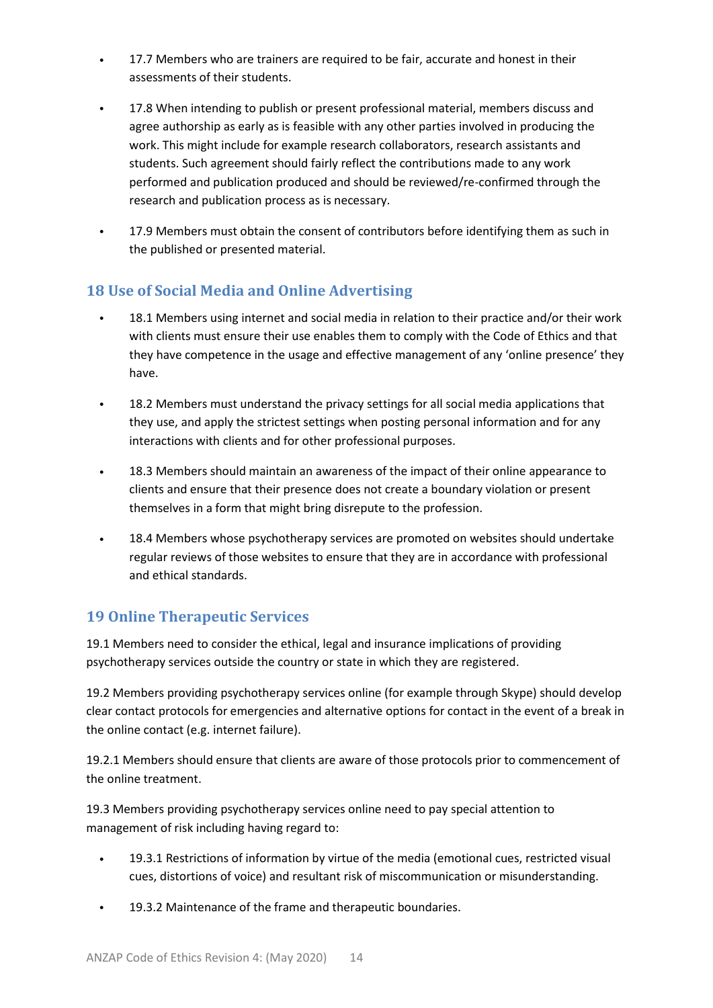- 17.7 Members who are trainers are required to be fair, accurate and honest in their assessments of their students.
- 17.8 When intending to publish or present professional material, members discuss and agree authorship as early as is feasible with any other parties involved in producing the work. This might include for example research collaborators, research assistants and students. Such agreement should fairly reflect the contributions made to any work performed and publication produced and should be reviewed/re-confirmed through the research and publication process as is necessary.
- 17.9 Members must obtain the consent of contributors before identifying them as such in the published or presented material.

# <span id="page-13-0"></span>**18 Use of Social Media and Online Advertising**

- 18.1 Members using internet and social media in relation to their practice and/or their work with clients must ensure their use enables them to comply with the Code of Ethics and that they have competence in the usage and effective management of any 'online presence' they have.
- 18.2 Members must understand the privacy settings for all social media applications that they use, and apply the strictest settings when posting personal information and for any interactions with clients and for other professional purposes.
- 18.3 Members should maintain an awareness of the impact of their online appearance to clients and ensure that their presence does not create a boundary violation or present themselves in a form that might bring disrepute to the profession.
- 18.4 Members whose psychotherapy services are promoted on websites should undertake regular reviews of those websites to ensure that they are in accordance with professional and ethical standards.

# <span id="page-13-1"></span>**19 Online Therapeutic Services**

19.1 Members need to consider the ethical, legal and insurance implications of providing psychotherapy services outside the country or state in which they are registered.

19.2 Members providing psychotherapy services online (for example through Skype) should develop clear contact protocols for emergencies and alternative options for contact in the event of a break in the online contact (e.g. internet failure).

19.2.1 Members should ensure that clients are aware of those protocols prior to commencement of the online treatment.

19.3 Members providing psychotherapy services online need to pay special attention to management of risk including having regard to:

- 19.3.1 Restrictions of information by virtue of the media (emotional cues, restricted visual cues, distortions of voice) and resultant risk of miscommunication or misunderstanding.
- 19.3.2 Maintenance of the frame and therapeutic boundaries.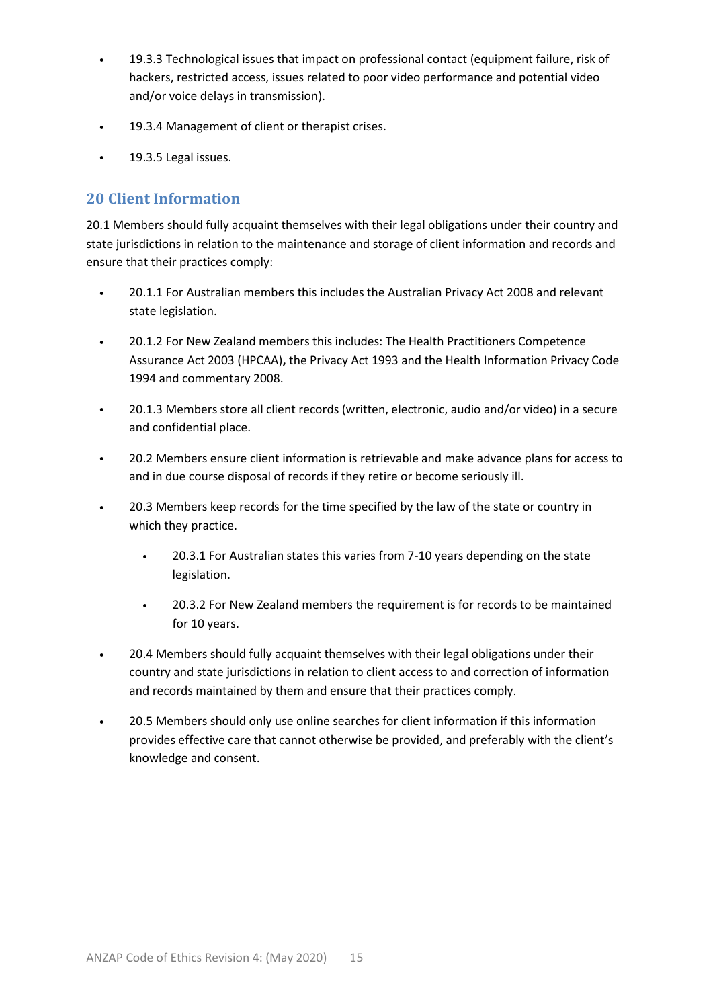- 19.3.3 Technological issues that impact on professional contact (equipment failure, risk of hackers, restricted access, issues related to poor video performance and potential video and/or voice delays in transmission).
- 19.3.4 Management of client or therapist crises.
- 19.3.5 Legal issues.

#### <span id="page-14-0"></span>**20 Client Information**

20.1 Members should fully acquaint themselves with their legal obligations under their country and state jurisdictions in relation to the maintenance and storage of client information and records and ensure that their practices comply:

- 20.1.1 For Australian members this includes the Australian Privacy Act 2008 and relevant state legislation.
- 20.1.2 For New Zealand members this includes: The Health Practitioners Competence Assurance Act 2003 (HPCAA)**,** the Privacy Act 1993 and the Health Information Privacy Code 1994 and commentary 2008.
- 20.1.3 Members store all client records (written, electronic, audio and/or video) in a secure and confidential place.
- 20.2 Members ensure client information is retrievable and make advance plans for access to and in due course disposal of records if they retire or become seriously ill.
- 20.3 Members keep records for the time specified by the law of the state or country in which they practice.
	- 20.3.1 For Australian states this varies from 7-10 years depending on the state legislation.
	- 20.3.2 For New Zealand members the requirement is for records to be maintained for 10 years.
- 20.4 Members should fully acquaint themselves with their legal obligations under their country and state jurisdictions in relation to client access to and correction of information and records maintained by them and ensure that their practices comply.
- 20.5 Members should only use online searches for client information if this information provides effective care that cannot otherwise be provided, and preferably with the client's knowledge and consent.